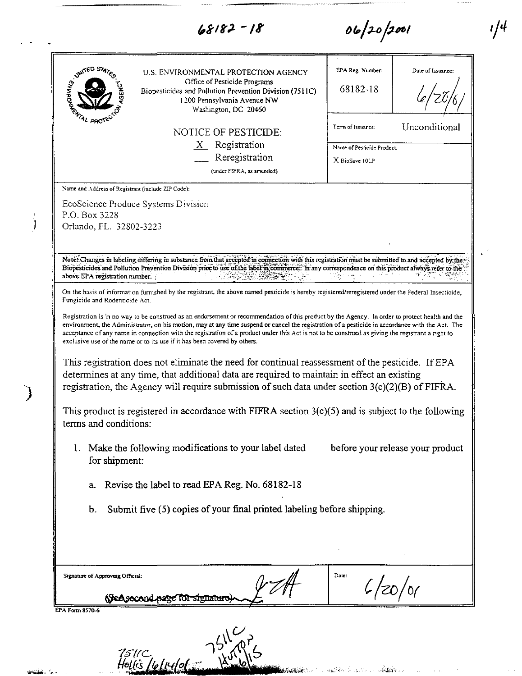| $68182 - 18$<br>06/20/2001                                                                                                                                                                                                                                                                                                                                                                                                                                                                                                                                                                                                                                                                                                                                                                                                                                                        |                                                            |                                  |
|-----------------------------------------------------------------------------------------------------------------------------------------------------------------------------------------------------------------------------------------------------------------------------------------------------------------------------------------------------------------------------------------------------------------------------------------------------------------------------------------------------------------------------------------------------------------------------------------------------------------------------------------------------------------------------------------------------------------------------------------------------------------------------------------------------------------------------------------------------------------------------------|------------------------------------------------------------|----------------------------------|
| IF THE B STAY<br>U.S. ENVIRONMENTAL PROTECTION AGENCY<br>Office of Pesticide Programs<br>Biopesticides and Pollution Prevention Division (7511C)<br>1200 Pennsylvania Avenue NW<br>Washington, DC 20460                                                                                                                                                                                                                                                                                                                                                                                                                                                                                                                                                                                                                                                                           | EPA Reg. Number.<br>68182-18                               | Date of Issuance:                |
| <b>FRATAL PROTE</b><br><b>NOTICE OF PESTICIDE:</b>                                                                                                                                                                                                                                                                                                                                                                                                                                                                                                                                                                                                                                                                                                                                                                                                                                | Term of Issuance:                                          | Unconditional                    |
| $X$ Registration<br>Reregistration<br>(under FIFRA, as amended)                                                                                                                                                                                                                                                                                                                                                                                                                                                                                                                                                                                                                                                                                                                                                                                                                   | Name of Pesticide Product:<br>X BioSave 10LP               |                                  |
| EcoScience Produce Systems Division<br>P.O. Box 3228<br>Orlando, FL. 32802-3223                                                                                                                                                                                                                                                                                                                                                                                                                                                                                                                                                                                                                                                                                                                                                                                                   |                                                            |                                  |
| Note: Changes in labeling differing in substance from that accepted in connection with this registration must be submitted to and accepted by the<br>Biopesticides and Pollution Prevention Division prior to use of the label in commerce. In any correspondence on this product always refer to the<br>above EPA registration number.                                                                                                                                                                                                                                                                                                                                                                                                                                                                                                                                           |                                                            |                                  |
| Fungicide and Rodenticide Act.<br>Registration is in no way to be construed as an endorsement or recommendation of this product by the Agency. In order to protect health and the<br>environment, the Administrator, on his motion, may at any time suspend or cancel the registration of a pesticide in accordance with the Act. The<br>acceptance of any name in connection with the registration of a product under this Act is not to be construed as giving the registrant a right to<br>exclusive use of the name or to its use if it has been covered by others.<br>This registration does not eliminate the need for continual reassessment of the pesticide. If EPA<br>determines at any time, that additional data are required to maintain in effect an existing<br>registration, the Agency will require submission of such data under section $3(c)(2)(B)$ of FIFRA. |                                                            |                                  |
| This product is registered in accordance with FIFRA section $3(c)(5)$ and is subject to the following<br>terms and conditions:                                                                                                                                                                                                                                                                                                                                                                                                                                                                                                                                                                                                                                                                                                                                                    |                                                            |                                  |
| 1. Make the following modifications to your label dated<br>for shipment:                                                                                                                                                                                                                                                                                                                                                                                                                                                                                                                                                                                                                                                                                                                                                                                                          |                                                            | before your release your product |
| Revise the label to read EPA Reg. No. 68182-18<br>a.                                                                                                                                                                                                                                                                                                                                                                                                                                                                                                                                                                                                                                                                                                                                                                                                                              |                                                            |                                  |
| Submit five (5) copies of your final printed labeling before shipping.<br>b.                                                                                                                                                                                                                                                                                                                                                                                                                                                                                                                                                                                                                                                                                                                                                                                                      |                                                            |                                  |
| Signature of Approving Official:                                                                                                                                                                                                                                                                                                                                                                                                                                                                                                                                                                                                                                                                                                                                                                                                                                                  | Date:                                                      |                                  |
| (See second page for signature                                                                                                                                                                                                                                                                                                                                                                                                                                                                                                                                                                                                                                                                                                                                                                                                                                                    |                                                            |                                  |
| EPA Form 8570-6<br>7511C<br>Hollis Leliulolar Nav<br><b>AND THE REPORT OF STREET</b>                                                                                                                                                                                                                                                                                                                                                                                                                                                                                                                                                                                                                                                                                                                                                                                              | 6/20/0<br>างของที่สำหรับ 11 ปี 2010 การเล่น เป็นสิ่งที่ 12 |                                  |

 $\frac{1}{2}$ 

 $\overline{\mathcal{L}}$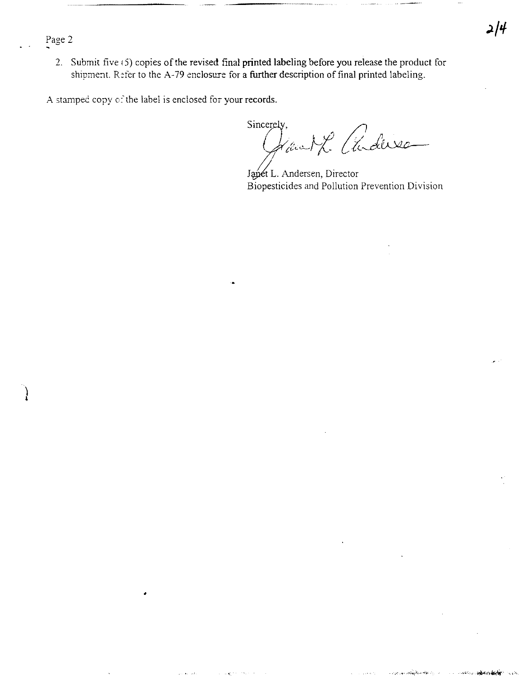Page 2

2. Submit five (5) copies of the revised final printed labeling before you release the product for shipment. Refer to the A-79 enclosure for a further description of final printed labeling.

A stamped copy of the label is enclosed for your records.

•

 $Sincerely,$ Géneral Cuduse

Janet L. Andersen, Director Biopesticides and Pollution Prevention Division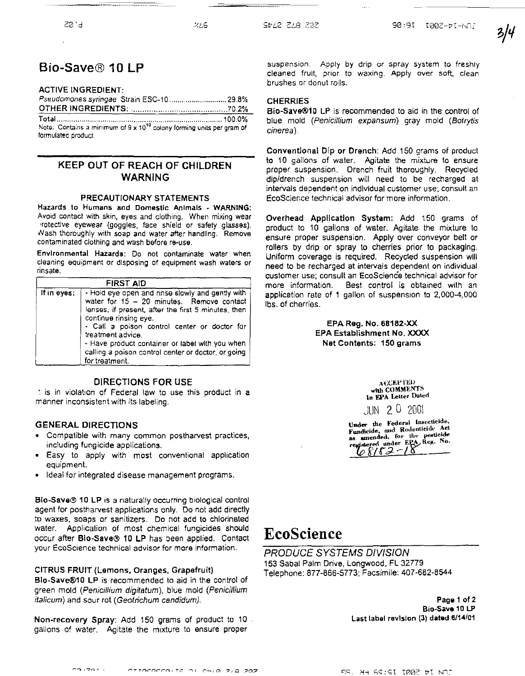## Bio-Save® 10 LP

#### ACTIVE INGREDIENT:

| Note: Contains a minimum of $9 \times 10^{10}$ colony forming units per gram of |  |
|---------------------------------------------------------------------------------|--|
| formulated product                                                              |  |

### KEEP OUT OF REACH OF CHILDREN WARNING

#### PRECAUTIONARY STATEMENTS

Hazards to Humans and Domestic Animals - WARNING: Avoid contacl with skin, eyes and clothing. When mixing wear 'rotectlve eyewear (goggles, face shield or safety glasses). Nash thoroughly with soap and water after handling. Remove contaminated clothing and wash before re·use.

Environmental Hazards: Do not contaminate water when cleaning equipment or disposing of equipment wash waters or rinsate.

|             | <b>FIRST AID</b>                                                                                                                                                                                                                                                                                                                                                                 |
|-------------|----------------------------------------------------------------------------------------------------------------------------------------------------------------------------------------------------------------------------------------------------------------------------------------------------------------------------------------------------------------------------------|
| If in eyes: | - Hold eye open and rinse slowly and gently with<br>water for $15 - 20$ minutes. Remove contact<br>lenses, if present, after the first 5 minutes, then<br>continue rinsing eye.<br>- Call a poison control center or doctor for<br>treatment advice.<br>- Have product container or label with you when<br>calling a poison control center or doctor, or going<br>for treatment. |

#### DIRECTIONS FOR USE

t is in violation of Federal law to use this product in a manner inconsistent with its labeling.

#### GENERAL DIRECTIONS

- Compatible with many common postharvest practices, including fungicide applications.
- Easy to apply with most conventional application equipment.
- Ideal for integrated disease management programs.

Blo-Save® 10 LP is a naturally occurring biological control agent for postharvest applications only. Do not add directly to waxes, soaps or sanitizers. Do not add to chlorinated water. Application of most chemical fungicides should occur after Blo-Save® 10 LP has been applied. Contact your EcoScience technical advisor for more information.

#### CITRUS FRUIT (Lamons. Oranges, Grapefruit)

Blo-Save®10 LP is recommended to aid in the control of green mold (Penicillium digitatum). blue mold (Penicillium italicum) and sour rot (Geotrichum candidum).

Non.recovery Spray: Add 150 grams of product to 10 gallons of water. Agitate the mixture to ensure proper

suspension. Apply by drip or spray system to freshly cleaned fruit, prior to waxing. Apply over soft, clean brushes or donut rolls.

#### **CHERRIES**

Bio-Save®10 LP is recommended to aid in the control of blue mold (Penicillium expansum) gray mold (Botrytis cinerea).

Conventlonal Dip or Drench: Add 150 grams of product to 10 gallons of water. Agitate the mixture to ensure proper suspension. Drench fruit thoroughly. Recycled dip/drench suspension will need to be recharged at intervals dependent on Individual customer use; consult an EcoScience technical advisor for more information.

Overhead Application System: Add 150 grams of product to 10 gallons of water. Agitate the mixture to ensure proper suspension. Apply over conveyor belt or rollers by drip or spray to cherries prior to packaging. Uniform coverage is required. Recycled suspension will need to be recharged at intervals dependent on individual customer use; consult an EcoScience technical advisor for more information. Best control is obtained with an application rate of 1 gallon of suspension to 2,000-4,000 Ibs. of cherries.

#### EPA Reg. No. 68182-XX EPA Establishment No. XXXX Net Contents: 150 grams

 $A$ CCEPTED with COMMENTS In EPA Letter Dated

JUN 2 0 20m

Under the Federal Insecticide.<br>Fundicide, and Rodenticide Act as amended, for the pesticide<br>registered under EPA Reg. No.  $\iota_{6}$ 8182-18

# EcoScience

PRODUCE SYSTEMS DIVISION 153 Sabal Palm Drive, Longwood. FL 32779 Telephone: 877-866-5773; Facsimile: 407-682-8544

> Page 1 of 2 Bio·Save 10 LP Last label revision (3) dated 6/14/01

co zar OTTOCOCCOUTS OF CHIR ZIQ ZOZ

NU COLOT TOOR HT NO? ne